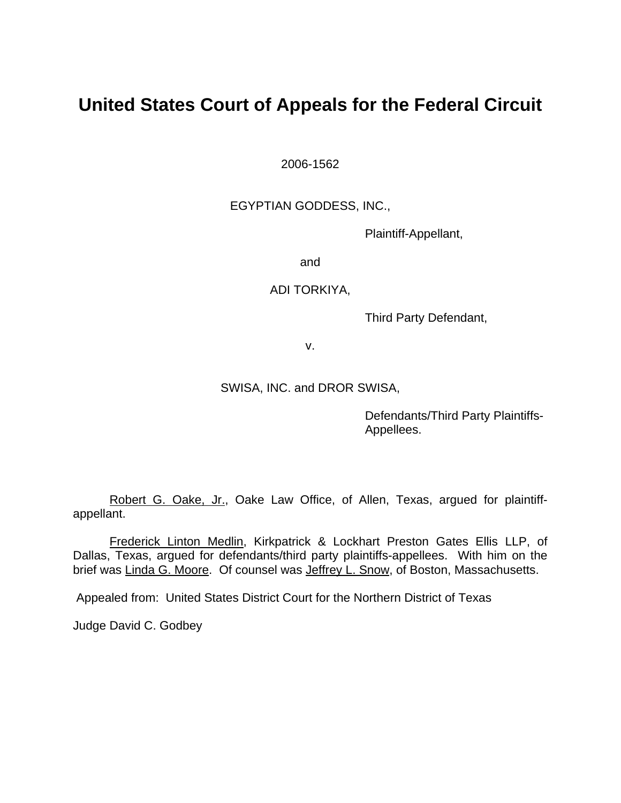# **United States Court of Appeals for the Federal Circuit**

2006-1562

EGYPTIAN GODDESS, INC.,

Plaintiff-Appellant,

and

ADI TORKIYA,

Third Party Defendant,

v.

SWISA, INC. and DROR SWISA,

Defendants/Third Party Plaintiffs-Appellees.

Robert G. Oake, Jr., Oake Law Office, of Allen, Texas, argued for plaintiffappellant.

 Frederick Linton Medlin, Kirkpatrick & Lockhart Preston Gates Ellis LLP, of Dallas, Texas, argued for defendants/third party plaintiffs-appellees. With him on the brief was Linda G. Moore. Of counsel was Jeffrey L. Snow, of Boston, Massachusetts.

Appealed from: United States District Court for the Northern District of Texas

Judge David C. Godbey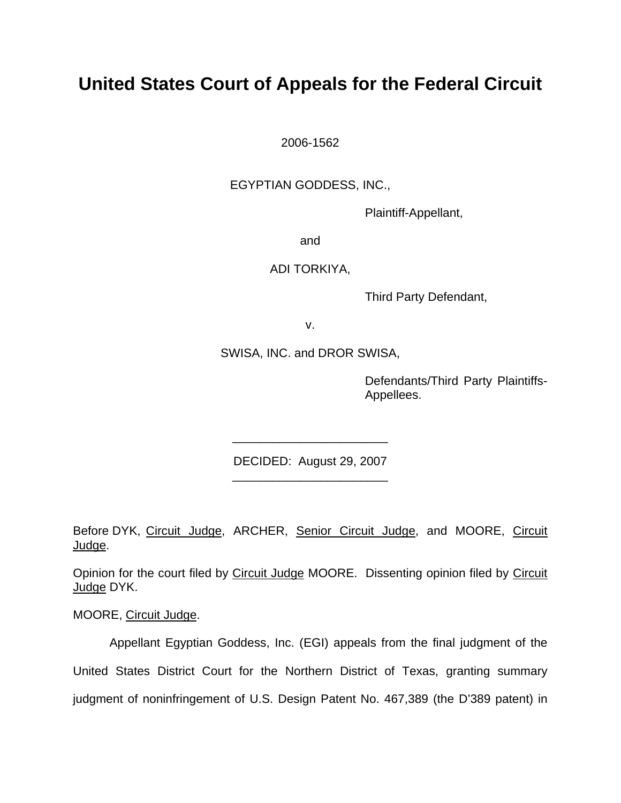# **United States Court of Appeals for the Federal Circuit**

2006-1562

EGYPTIAN GODDESS, INC.,

Plaintiff-Appellant,

and

ADI TORKIYA,

Third Party Defendant,

v.

SWISA, INC. and DROR SWISA,

Defendants/Third Party Plaintiffs-Appellees.

DECIDED: August 29, 2007 \_\_\_\_\_\_\_\_\_\_\_\_\_\_\_\_\_\_\_\_\_\_\_

\_\_\_\_\_\_\_\_\_\_\_\_\_\_\_\_\_\_\_\_\_\_\_

Before DYK, Circuit Judge, ARCHER, Senior Circuit Judge, and MOORE, Circuit Judge.

Opinion for the court filed by Circuit Judge MOORE. Dissenting opinion filed by Circuit Judge DYK.

MOORE, Circuit Judge.

 Appellant Egyptian Goddess, Inc. (EGI) appeals from the final judgment of the United States District Court for the Northern District of Texas, granting summary judgment of noninfringement of U.S. Design Patent No. 467,389 (the D'389 patent) in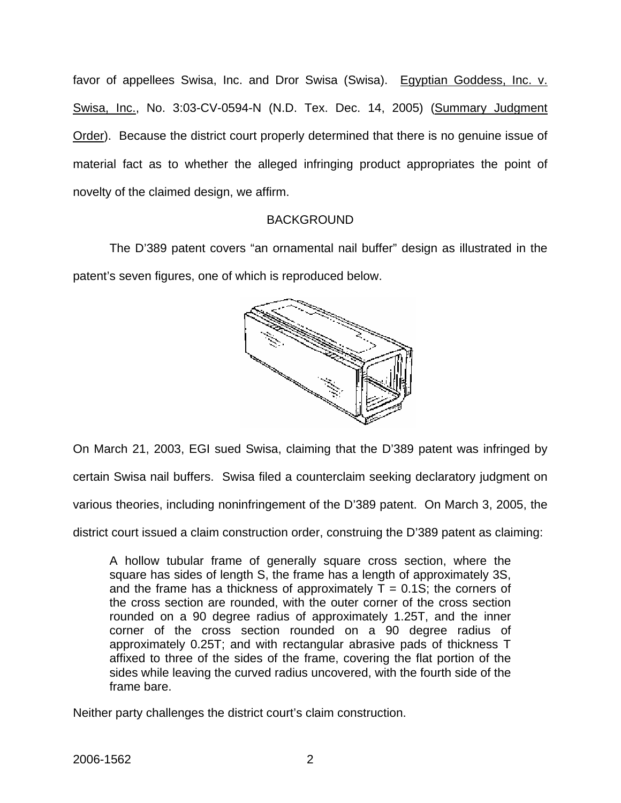favor of appellees Swisa, Inc. and Dror Swisa (Swisa). Egyptian Goddess, Inc. v. Swisa, Inc., No. 3:03-CV-0594-N (N.D. Tex. Dec. 14, 2005) (Summary Judgment Order). Because the district court properly determined that there is no genuine issue of material fact as to whether the alleged infringing product appropriates the point of novelty of the claimed design, we affirm.

### BACKGROUND

The D'389 patent covers "an ornamental nail buffer" design as illustrated in the patent's seven figures, one of which is reproduced below.



On March 21, 2003, EGI sued Swisa, claiming that the D'389 patent was infringed by certain Swisa nail buffers. Swisa filed a counterclaim seeking declaratory judgment on various theories, including noninfringement of the D'389 patent. On March 3, 2005, the

district court issued a claim construction order, construing the D'389 patent as claiming:

A hollow tubular frame of generally square cross section, where the square has sides of length S, the frame has a length of approximately 3S, and the frame has a thickness of approximately  $T = 0.1$ S; the corners of the cross section are rounded, with the outer corner of the cross section rounded on a 90 degree radius of approximately 1.25T, and the inner corner of the cross section rounded on a 90 degree radius of approximately 0.25T; and with rectangular abrasive pads of thickness T affixed to three of the sides of the frame, covering the flat portion of the sides while leaving the curved radius uncovered, with the fourth side of the frame bare.

Neither party challenges the district court's claim construction.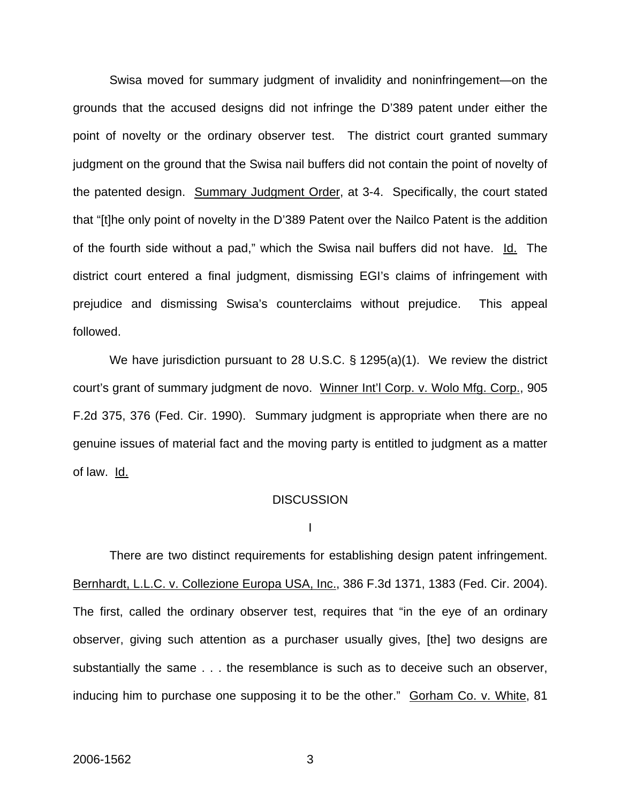Swisa moved for summary judgment of invalidity and noninfringement—on the grounds that the accused designs did not infringe the D'389 patent under either the point of novelty or the ordinary observer test. The district court granted summary judgment on the ground that the Swisa nail buffers did not contain the point of novelty of the patented design. Summary Judgment Order, at 3-4. Specifically, the court stated that "[t]he only point of novelty in the D'389 Patent over the Nailco Patent is the addition of the fourth side without a pad," which the Swisa nail buffers did not have. Id. The district court entered a final judgment, dismissing EGI's claims of infringement with prejudice and dismissing Swisa's counterclaims without prejudice. This appeal followed.

We have jurisdiction pursuant to 28 U.S.C. § 1295(a)(1). We review the district court's grant of summary judgment de novo. Winner Int'l Corp. v. Wolo Mfg. Corp., 905 F.2d 375, 376 (Fed. Cir. 1990). Summary judgment is appropriate when there are no genuine issues of material fact and the moving party is entitled to judgment as a matter of law. Id.

### **DISCUSSION**

I

 There are two distinct requirements for establishing design patent infringement. Bernhardt, L.L.C. v. Collezione Europa USA, Inc., 386 F.3d 1371, 1383 (Fed. Cir. 2004). The first, called the ordinary observer test, requires that "in the eye of an ordinary observer, giving such attention as a purchaser usually gives, [the] two designs are substantially the same . . . the resemblance is such as to deceive such an observer, inducing him to purchase one supposing it to be the other." Gorham Co. v. White, 81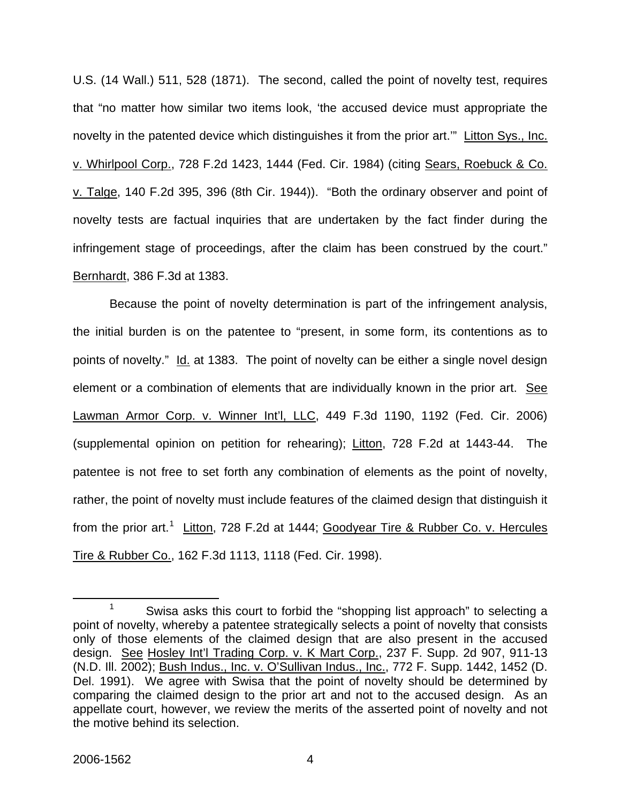U.S. (14 Wall.) 511, 528 (1871). The second, called the point of novelty test, requires that "no matter how similar two items look, 'the accused device must appropriate the novelty in the patented device which distinguishes it from the prior art.'" Litton Sys., Inc. v. Whirlpool Corp., 728 F.2d 1423, 1444 (Fed. Cir. 1984) (citing Sears, Roebuck & Co. v. Talge, 140 F.2d 395, 396 (8th Cir. 1944)). "Both the ordinary observer and point of novelty tests are factual inquiries that are undertaken by the fact finder during the infringement stage of proceedings, after the claim has been construed by the court." Bernhardt, 386 F.3d at 1383.

Because the point of novelty determination is part of the infringement analysis, the initial burden is on the patentee to "present, in some form, its contentions as to points of novelty." Id. at 1383. The point of novelty can be either a single novel design element or a combination of elements that are individually known in the prior art. See Lawman Armor Corp. v. Winner Int'l, LLC, 449 F.3d 1190, 1192 (Fed. Cir. 2006) (supplemental opinion on petition for rehearing); Litton, 728 F.2d at 1443-44. The patentee is not free to set forth any combination of elements as the point of novelty, rather, the point of novelty must include features of the claimed design that distinguish it from the prior art.<sup>[1](#page-4-0)</sup> Litton, 728 F.2d at 1444; Goodyear Tire & Rubber Co. v. Hercules Tire & Rubber Co., 162 F.3d 1113, 1118 (Fed. Cir. 1998).

<span id="page-4-0"></span> <sup>1</sup> <sup>1</sup> Swisa asks this court to forbid the "shopping list approach" to selecting a point of novelty, whereby a patentee strategically selects a point of novelty that consists only of those elements of the claimed design that are also present in the accused design. See Hosley Int'l Trading Corp. v. K Mart Corp., 237 F. Supp. 2d 907, 911-13 (N.D. Ill. 2002); Bush Indus., Inc. v. O'Sullivan Indus., Inc., 772 F. Supp. 1442, 1452 (D. Del. 1991). We agree with Swisa that the point of novelty should be determined by comparing the claimed design to the prior art and not to the accused design. As an appellate court, however, we review the merits of the asserted point of novelty and not the motive behind its selection.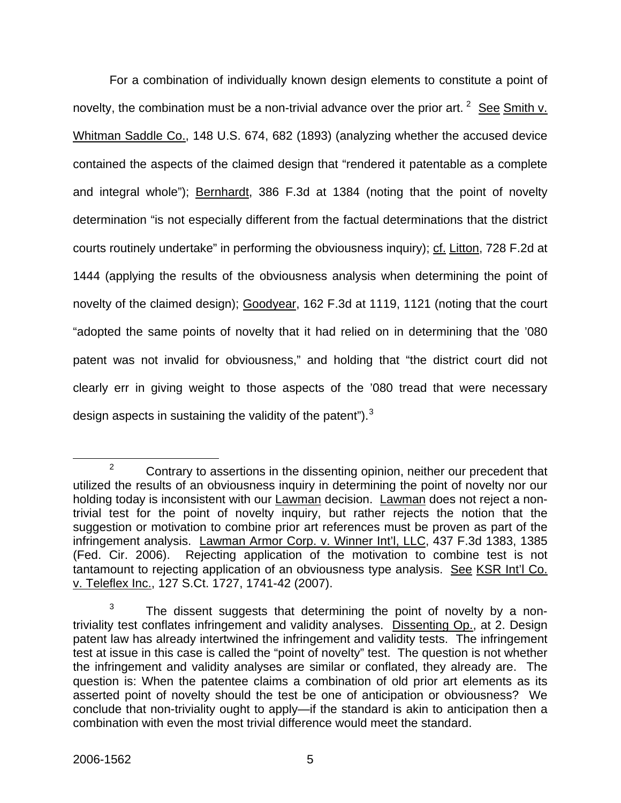For a combination of individually known design elements to constitute a point of novelty, the combination must be a non-trivial advance over the prior art.  $2$  See Smith v. Whitman Saddle Co., 148 U.S. 674, 682 (1893) (analyzing whether the accused device contained the aspects of the claimed design that "rendered it patentable as a complete and integral whole"); Bernhardt, 386 F.3d at 1384 (noting that the point of novelty determination "is not especially different from the factual determinations that the district courts routinely undertake" in performing the obviousness inquiry); cf. Litton, 728 F.2d at 1444 (applying the results of the obviousness analysis when determining the point of novelty of the claimed design); Goodyear, 162 F.3d at 1119, 1121 (noting that the court "adopted the same points of novelty that it had relied on in determining that the '080 patent was not invalid for obviousness," and holding that "the district court did not clearly err in giving weight to those aspects of the '080 tread that were necessary design aspects in sustaining the validity of the patent").<sup>[3](#page-5-1)</sup>

<span id="page-5-0"></span> $\frac{1}{2}$  $2^2$  Contrary to assertions in the dissenting opinion, neither our precedent that utilized the results of an obviousness inquiry in determining the point of novelty nor our holding today is inconsistent with our Lawman decision. Lawman does not reject a nontrivial test for the point of novelty inquiry, but rather rejects the notion that the suggestion or motivation to combine prior art references must be proven as part of the infringement analysis. Lawman Armor Corp. v. Winner Int'l, LLC, 437 F.3d 1383, 1385 (Fed. Cir. 2006). Rejecting application of the motivation to combine test is not tantamount to rejecting application of an obviousness type analysis. See KSR Int'l Co. v. Teleflex Inc., 127 S.Ct. 1727, 1741-42 (2007).

<span id="page-5-1"></span><sup>3</sup> The dissent suggests that determining the point of novelty by a nontriviality test conflates infringement and validity analyses. Dissenting Op., at 2. Design patent law has already intertwined the infringement and validity tests. The infringement test at issue in this case is called the "point of novelty" test. The question is not whether the infringement and validity analyses are similar or conflated, they already are. The question is: When the patentee claims a combination of old prior art elements as its asserted point of novelty should the test be one of anticipation or obviousness? We conclude that non-triviality ought to apply—if the standard is akin to anticipation then a combination with even the most trivial difference would meet the standard.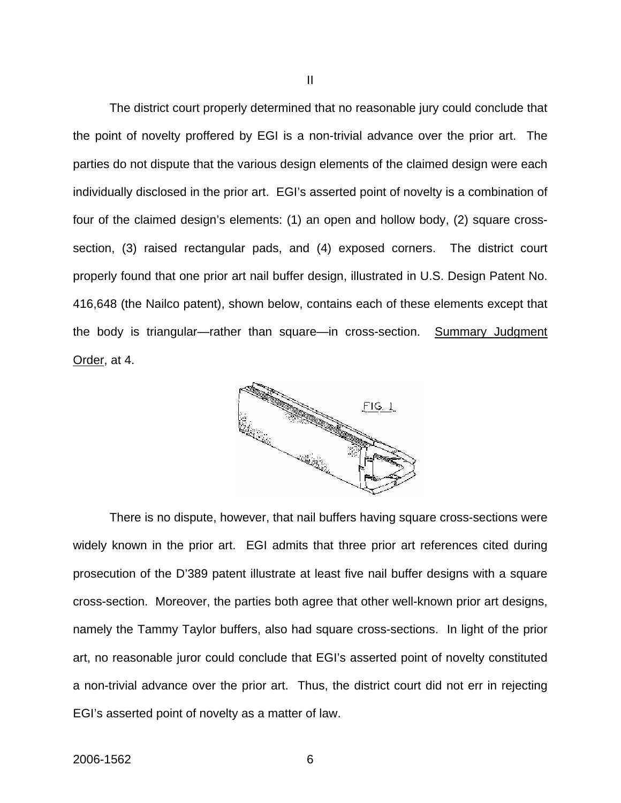The district court properly determined that no reasonable jury could conclude that the point of novelty proffered by EGI is a non-trivial advance over the prior art. The parties do not dispute that the various design elements of the claimed design were each individually disclosed in the prior art. EGI's asserted point of novelty is a combination of four of the claimed design's elements: (1) an open and hollow body, (2) square crosssection, (3) raised rectangular pads, and (4) exposed corners. The district court properly found that one prior art nail buffer design, illustrated in U.S. Design Patent No. 416,648 (the Nailco patent), shown below, contains each of these elements except that the body is triangular—rather than square—in cross-section. Summary Judgment Order, at 4.



There is no dispute, however, that nail buffers having square cross-sections were widely known in the prior art. EGI admits that three prior art references cited during prosecution of the D'389 patent illustrate at least five nail buffer designs with a square cross-section. Moreover, the parties both agree that other well-known prior art designs, namely the Tammy Taylor buffers, also had square cross-sections. In light of the prior art, no reasonable juror could conclude that EGI's asserted point of novelty constituted a non-trivial advance over the prior art. Thus, the district court did not err in rejecting EGI's asserted point of novelty as a matter of law.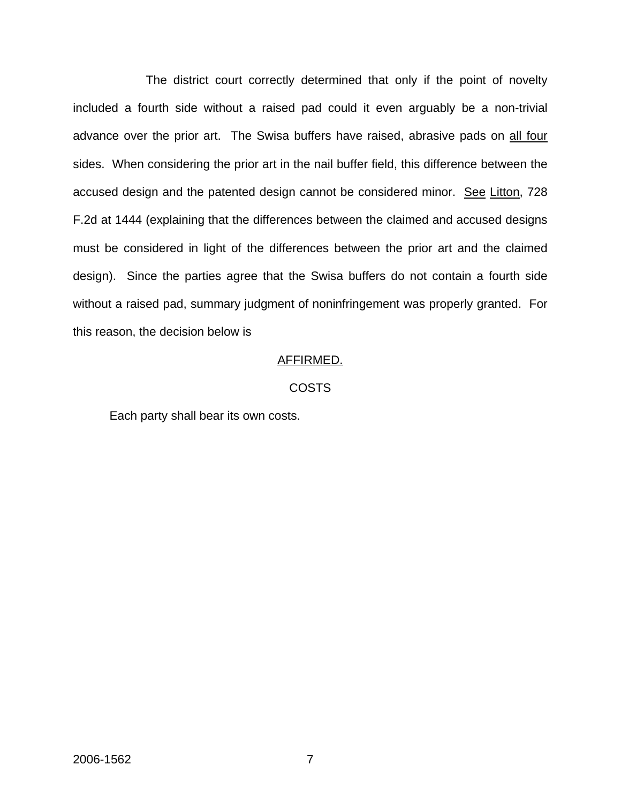The district court correctly determined that only if the point of novelty included a fourth side without a raised pad could it even arguably be a non-trivial advance over the prior art. The Swisa buffers have raised, abrasive pads on all four sides. When considering the prior art in the nail buffer field, this difference between the accused design and the patented design cannot be considered minor. See Litton, 728 F.2d at 1444 (explaining that the differences between the claimed and accused designs must be considered in light of the differences between the prior art and the claimed design). Since the parties agree that the Swisa buffers do not contain a fourth side without a raised pad, summary judgment of noninfringement was properly granted. For this reason, the decision below is

#### AFFIRMED.

#### COSTS

Each party shall bear its own costs.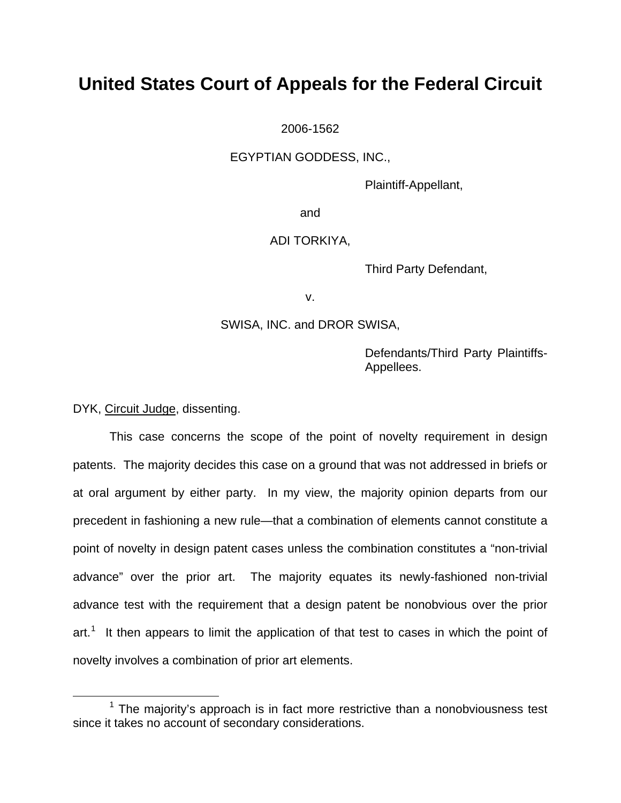## **United States Court of Appeals for the Federal Circuit**

2006-1562

EGYPTIAN GODDESS, INC.,

Plaintiff-Appellant,

and

### ADI TORKIYA,

Third Party Defendant,

v.

SWISA, INC. and DROR SWISA,

Defendants/Third Party Plaintiffs-Appellees.

DYK, Circuit Judge, dissenting.

 This case concerns the scope of the point of novelty requirement in design patents. The majority decides this case on a ground that was not addressed in briefs or at oral argument by either party. In my view, the majority opinion departs from our precedent in fashioning a new rule—that a combination of elements cannot constitute a point of novelty in design patent cases unless the combination constitutes a "non-trivial advance" over the prior art. The majority equates its newly-fashioned non-trivial advance test with the requirement that a design patent be nonobvious over the prior art.<sup>[1](#page-8-0)</sup> It then appears to limit the application of that test to cases in which the point of novelty involves a combination of prior art elements.

<span id="page-8-0"></span> <sup>1</sup>  $1$  The maiority's approach is in fact more restrictive than a nonobviousness test since it takes no account of secondary considerations.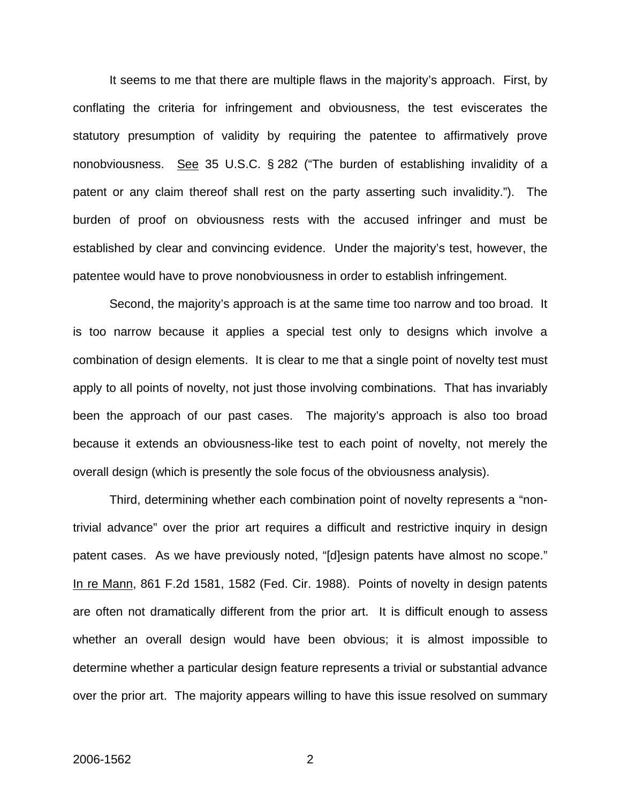It seems to me that there are multiple flaws in the majority's approach. First, by conflating the criteria for infringement and obviousness, the test eviscerates the statutory presumption of validity by requiring the patentee to affirmatively prove nonobviousness. See 35 U.S.C. § 282 ("The burden of establishing invalidity of a patent or any claim thereof shall rest on the party asserting such invalidity."). The burden of proof on obviousness rests with the accused infringer and must be established by clear and convincing evidence. Under the majority's test, however, the patentee would have to prove nonobviousness in order to establish infringement.

 Second, the majority's approach is at the same time too narrow and too broad. It is too narrow because it applies a special test only to designs which involve a combination of design elements. It is clear to me that a single point of novelty test must apply to all points of novelty, not just those involving combinations. That has invariably been the approach of our past cases. The majority's approach is also too broad because it extends an obviousness-like test to each point of novelty, not merely the overall design (which is presently the sole focus of the obviousness analysis).

 Third, determining whether each combination point of novelty represents a "nontrivial advance" over the prior art requires a difficult and restrictive inquiry in design patent cases. As we have previously noted, "[d]esign patents have almost no scope." In re Mann, 861 F.2d 1581, 1582 (Fed. Cir. 1988). Points of novelty in design patents are often not dramatically different from the prior art. It is difficult enough to assess whether an overall design would have been obvious; it is almost impossible to determine whether a particular design feature represents a trivial or substantial advance over the prior art. The majority appears willing to have this issue resolved on summary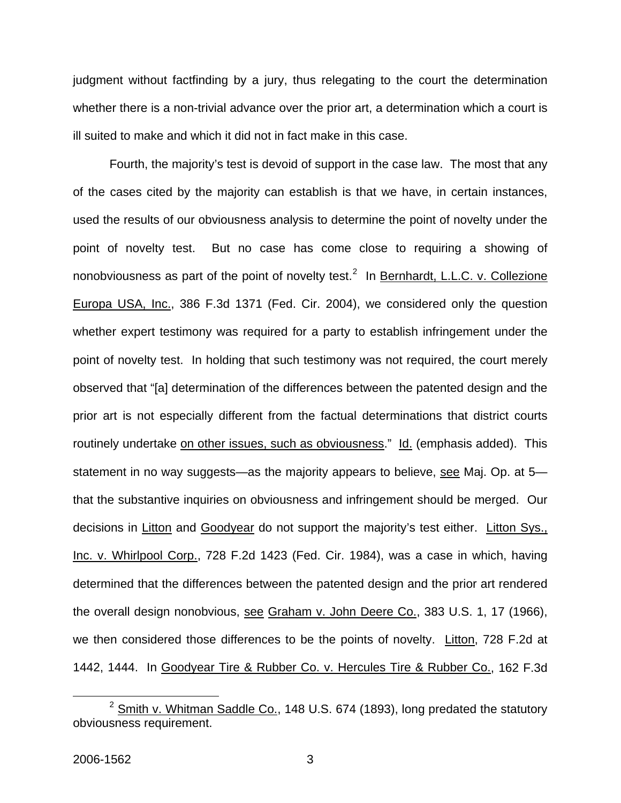judgment without factfinding by a jury, thus relegating to the court the determination whether there is a non-trivial advance over the prior art, a determination which a court is ill suited to make and which it did not in fact make in this case.

 Fourth, the majority's test is devoid of support in the case law. The most that any of the cases cited by the majority can establish is that we have, in certain instances, used the results of our obviousness analysis to determine the point of novelty under the point of novelty test. But no case has come close to requiring a showing of nonobviousness as part of the point of novelty test.<sup>[2](#page-10-0)</sup> In **Bernhardt, L.L.C. v. Collezione** Europa USA, Inc., 386 F.3d 1371 (Fed. Cir. 2004), we considered only the question whether expert testimony was required for a party to establish infringement under the point of novelty test. In holding that such testimony was not required, the court merely observed that "[a] determination of the differences between the patented design and the prior art is not especially different from the factual determinations that district courts routinely undertake on other issues, such as obviousness." Id. (emphasis added). This statement in no way suggests—as the majority appears to believe, see Maj. Op. at 5 that the substantive inquiries on obviousness and infringement should be merged. Our decisions in Litton and Goodyear do not support the majority's test either. Litton Sys., Inc. v. Whirlpool Corp., 728 F.2d 1423 (Fed. Cir. 1984), was a case in which, having determined that the differences between the patented design and the prior art rendered the overall design nonobvious, see Graham v. John Deere Co., 383 U.S. 1, 17 (1966), we then considered those differences to be the points of novelty. Litton, 728 F.2d at 1442, 1444. In Goodyear Tire & Rubber Co. v. Hercules Tire & Rubber Co., 162 F.3d

<span id="page-10-0"></span> $2$  Smith v. Whitman Saddle Co., 148 U.S. 674 (1893), long predated the statutory obviousness requirement.